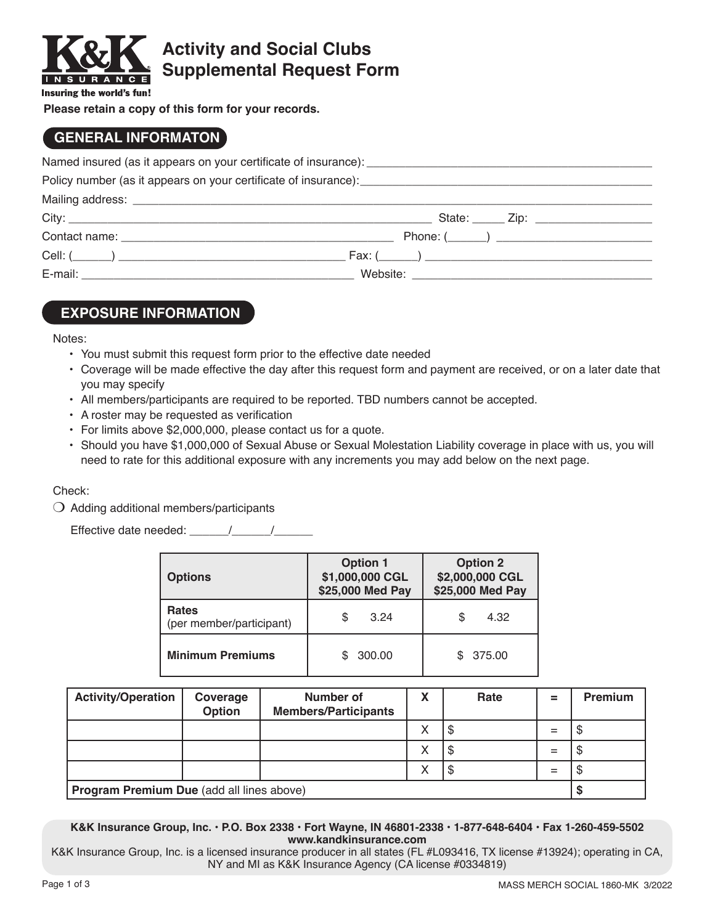

# **Activity and Social Clubs Supplemental Request Form**

Insuring the world's fun!

**Please retain a copy of this form for your records.**

## **GENERAL INFORMATON**

| Cell: $(\_\_\_\_)$ |  |
|--------------------|--|
|                    |  |

## **EXPOSURE INFORMATION**

Notes:

- You must submit this request form prior to the effective date needed
- Coverage will be made effective the day after this request form and payment are received, or on a later date that you may specify
- All members/participants are required to be reported. TBD numbers cannot be accepted.
- A roster may be requested as verification
- For limits above \$2,000,000, please contact us for a quote.
- Should you have \$1,000,000 of Sexual Abuse or Sexual Molestation Liability coverage in place with us, you will need to rate for this additional exposure with any increments you may add below on the next page.

#### Check:

 $\bigcirc$  Adding additional members/participants

Effective date needed: \_\_\_\_\_\_/\_\_\_\_\_\_/\_\_\_\_\_\_

| <b>Options</b>                           | <b>Option 1</b><br>\$1,000,000 CGL<br>\$25,000 Med Pay | <b>Option 2</b><br>\$2,000,000 CGL<br>\$25,000 Med Pay |  |  |
|------------------------------------------|--------------------------------------------------------|--------------------------------------------------------|--|--|
| <b>Rates</b><br>(per member/participant) | 3.24<br>\$                                             | 4.32<br>\$.                                            |  |  |
| <b>Minimum Premiums</b>                  | \$300.00                                               | \$375.00                                               |  |  |

| <b>Activity/Operation</b>                 | Coverage<br>Option | Number of<br><b>Members/Participants</b> | Χ | Rate | = | <b>Premium</b> |
|-------------------------------------------|--------------------|------------------------------------------|---|------|---|----------------|
|                                           |                    |                                          |   | Œ    | = |                |
|                                           |                    |                                          |   | SS.  | = |                |
|                                           |                    |                                          |   | Œ    | = | лD             |
| Program Premium Due (add all lines above) |                    |                                          |   |      |   |                |

#### **K&K Insurance Group, Inc. • P.O. Box 2338 • Fort Wayne, IN 46801-2338 • 1-877-648-6404 • Fax 1-260-459-5502 www.kandkinsurance.com**

K&K Insurance Group, Inc. is a licensed insurance producer in all states (FL #L093416, TX license #13924); operating in CA, NY and MI as K&K Insurance Agency (CA license #0334819)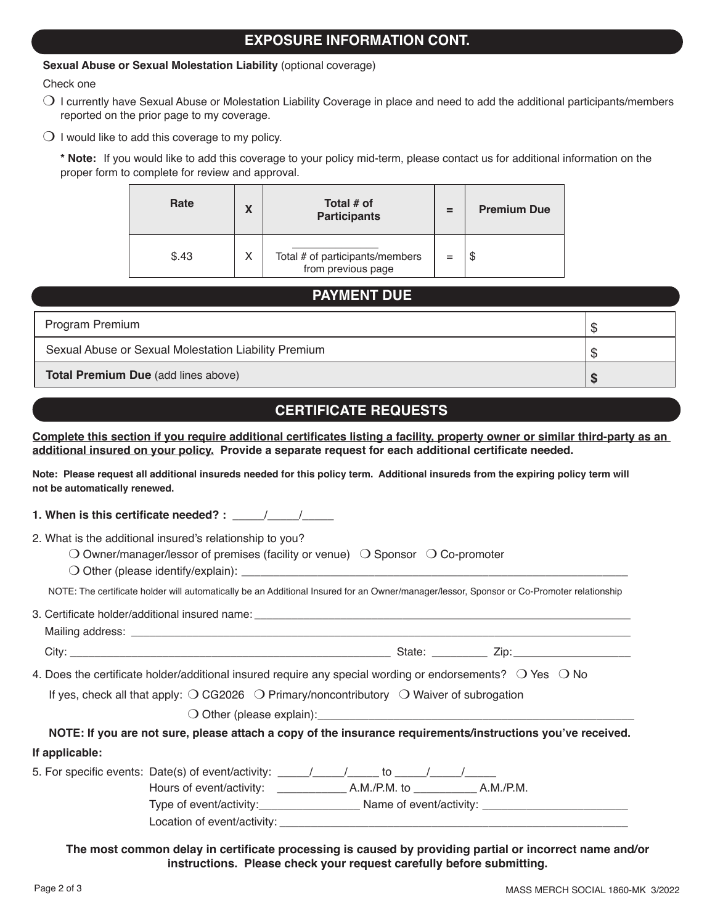### **EXPOSURE INFORMATION CONT.**

#### **Sexual Abuse or Sexual Molestation Liability** (optional coverage)

Check one

 $\bigcirc$  I currently have Sexual Abuse or Molestation Liability Coverage in place and need to add the additional participants/members reported on the prior page to my coverage.

 $\bigcirc$  I would like to add this coverage to my policy.

**\* Note:** If you would like to add this coverage to your policy mid-term, please contact us for additional information on the proper form to complete for review and approval.

| Rate  | X | Total # of<br><b>Participants</b>                     | = | <b>Premium Due</b> |
|-------|---|-------------------------------------------------------|---|--------------------|
| \$.43 | Χ | Total # of participants/members<br>from previous page |   |                    |

### **PAYMENT DUE**

| Program Premium                                      |     |
|------------------------------------------------------|-----|
| Sexual Abuse or Sexual Molestation Liability Premium | AD. |
| <b>Total Premium Due (add lines above)</b>           |     |

### **CERTIFICATE REQUESTS**

**Complete this section if you require additional certificates listing a facility, property owner or similar third-party as an additional insured on your policy. Provide a separate request for each additional certificate needed.** 

**Note: Please request all additional insureds needed for this policy term. Additional insureds from the expiring policy term will not be automatically renewed.** 

**1. When is this certificate needed? :**  $\frac{1}{2}$ 2. What is the additional insured's relationship to you?

O Owner/manager/lessor of premises (facility or venue)  $\bigcirc$  Sponsor  $\bigcirc$  Co-promoter

 m Other (please identify/explain): \_\_\_\_\_\_\_\_\_\_\_\_\_\_\_\_\_\_\_\_\_\_\_\_\_\_\_\_\_\_\_\_\_\_\_\_\_\_\_\_\_\_\_\_\_\_\_\_\_\_\_\_\_\_\_\_\_\_\_\_\_

NOTE: The certificate holder will automatically be an Additional Insured for an Owner/manager/lessor, Sponsor or Co-Promoter relationship

3. Certificate holder/additional insured name:

Mailing address: \_\_\_\_\_\_\_\_\_\_\_\_\_\_\_\_\_\_\_\_\_\_\_\_\_\_\_\_\_\_\_\_\_\_\_\_\_\_\_\_\_\_\_\_\_\_\_\_\_\_\_\_\_\_\_\_\_\_\_\_\_\_\_\_\_\_\_\_\_\_\_\_\_\_\_\_\_\_\_\_\_

| - |  |  |
|---|--|--|
|   |  |  |

4. Does the certificate holder/additional insured require any special wording or endorsements?  $\bigcirc$  Yes  $\bigcirc$  No

If yes, check all that apply:  $\bigcirc$  CG2026  $\bigcirc$  Primary/noncontributory  $\bigcirc$  Waiver of subrogation

 $\bigcirc$  Other (please explain):

**NOTE: If you are not sure, please attach a copy of the insurance requirements/instructions you've received.**

#### **If applicable:**

| 5. For specific events: Date(s) of event/activity: _____________________________ |  |                         |           |  |
|----------------------------------------------------------------------------------|--|-------------------------|-----------|--|
| Hours of event/activity:                                                         |  | A.M./P.M. to            | A.M./P.M. |  |
| Type of event/activity:                                                          |  | Name of event/activity: |           |  |
| Location of event/activity:                                                      |  |                         |           |  |

**The most common delay in certificate processing is caused by providing partial or incorrect name and/or instructions. Please check your request carefully before submitting.**